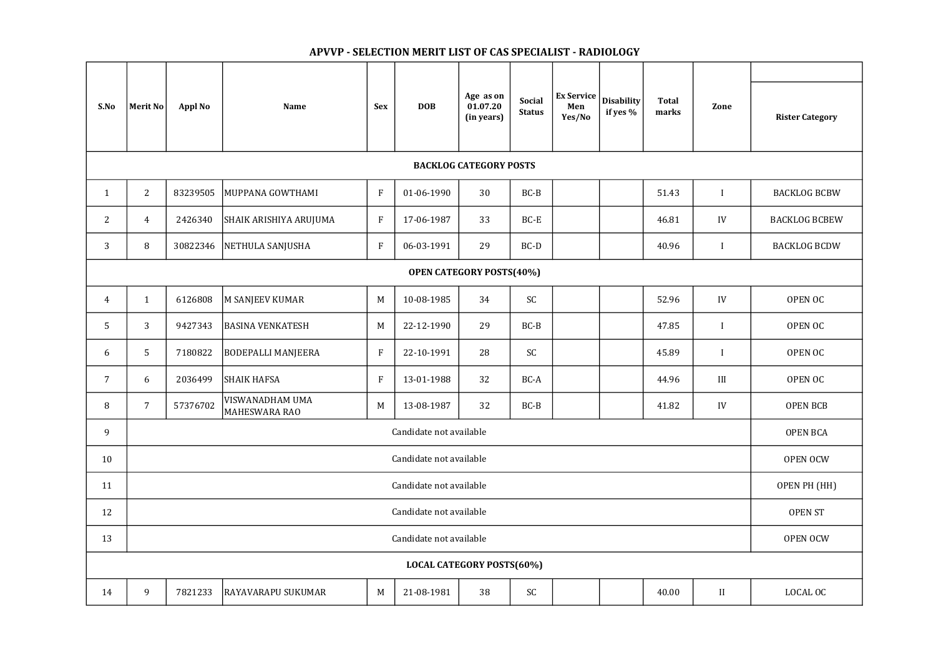| S.No                             | Merit No                | <b>Appl No</b> | <b>Name</b>                      | <b>Sex</b>  | <b>DOB</b> | Age as on<br>01.07.20<br>(in years) | <b>Social</b><br><b>Status</b> | <b>Ex Service</b><br>Men<br>Yes/No | <b>Disability</b><br>if yes % | <b>Total</b><br>marks | Zone         | <b>Rister Category</b> |
|----------------------------------|-------------------------|----------------|----------------------------------|-------------|------------|-------------------------------------|--------------------------------|------------------------------------|-------------------------------|-----------------------|--------------|------------------------|
| <b>BACKLOG CATEGORY POSTS</b>    |                         |                |                                  |             |            |                                     |                                |                                    |                               |                       |              |                        |
| $\mathbf{1}$                     | 2                       | 83239505       | MUPPANA GOWTHAMI                 | $\rm F$     | 01-06-1990 | 30                                  | $BC-B$                         |                                    |                               | 51.43                 |              | <b>BACKLOG BCBW</b>    |
| 2                                | 4                       | 2426340        | SHAIK ARISHIYA ARUJUMA           | $\rm F$     | 17-06-1987 | 33                                  | BC-E                           |                                    |                               | 46.81                 | IV           | <b>BACKLOG BCBEW</b>   |
| 3                                | 8                       | 30822346       | NETHULA SANJUSHA                 | $\rm F$     | 06-03-1991 | 29                                  | $BC-D$                         |                                    |                               | 40.96                 |              | <b>BACKLOG BCDW</b>    |
| <b>OPEN CATEGORY POSTS(40%)</b>  |                         |                |                                  |             |            |                                     |                                |                                    |                               |                       |              |                        |
| $\overline{4}$                   | $\mathbf{1}$            | 6126808        | M SANJEEV KUMAR                  | $M_{\odot}$ | 10-08-1985 | 34                                  | SC                             |                                    |                               | 52.96                 | IV           | OPEN OC                |
| 5                                | 3                       | 9427343        | <b>BASINA VENKATESH</b>          | M           | 22-12-1990 | 29                                  | $BC-B$                         |                                    |                               | 47.85                 |              | OPEN OC                |
| 6                                | 5                       | 7180822        | <b>BODEPALLI MANJEERA</b>        | $\mathbf F$ | 22-10-1991 | 28                                  | SC                             |                                    |                               | 45.89                 |              | OPEN OC                |
| $\overline{7}$                   | 6                       | 2036499        | <b>SHAIK HAFSA</b>               | $\rm F$     | 13-01-1988 | 32                                  | $BC-A$                         |                                    |                               | 44.96                 | III          | OPEN OC                |
| 8                                | $\overline{7}$          | 57376702       | VISWANADHAM UMA<br>MAHESWARA RAO | M           | 13-08-1987 | 32                                  | $BC-B$                         |                                    |                               | 41.82                 | ${\rm IV}$   | <b>OPEN BCB</b>        |
| 9                                | Candidate not available |                |                                  |             |            |                                     |                                |                                    | <b>OPEN BCA</b>               |                       |              |                        |
| 10                               | Candidate not available |                |                                  |             |            |                                     |                                |                                    |                               | <b>OPEN OCW</b>       |              |                        |
| 11                               | Candidate not available |                |                                  |             |            |                                     |                                |                                    |                               | OPEN PH (HH)          |              |                        |
| 12                               | Candidate not available |                |                                  |             |            |                                     |                                |                                    |                               | <b>OPEN ST</b>        |              |                        |
| 13                               | Candidate not available |                |                                  |             |            |                                     |                                | <b>OPEN OCW</b>                    |                               |                       |              |                        |
| <b>LOCAL CATEGORY POSTS(60%)</b> |                         |                |                                  |             |            |                                     |                                |                                    |                               |                       |              |                        |
| 14                               | 9                       | 7821233        | <b>RAYAVARAPU SUKUMAR</b>        | M           | 21-08-1981 | 38                                  | SC                             |                                    |                               | 40.00                 | $\mathbf{I}$ | LOCAL OC               |

## APVVP - SELECTION MERIT LIST OF CAS SPECIALIST - RADIOLOGY